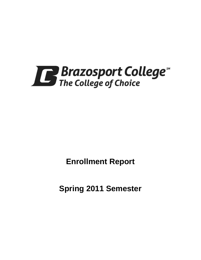

**Enrollment Report**

**Spring 2011 Semester**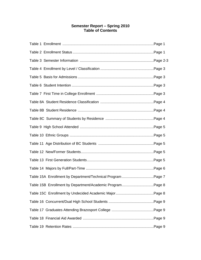# **Semester Report – Spring 2010 Table of Contents**

| Table 15A Enrollment by Department/Technical Program Page 7 |  |
|-------------------------------------------------------------|--|
| Table 15B Enrollment by Department/Academic ProgramPage 8   |  |
|                                                             |  |
|                                                             |  |
|                                                             |  |
|                                                             |  |
|                                                             |  |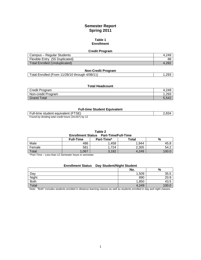# **Semester Report Spring 2011**

### **Table 1 Enrollment**

| <b>Credit Program</b>                |       |
|--------------------------------------|-------|
| Campus - Regular Students            | 4.249 |
| Flexible Entry (55 Duplicated)       | 88    |
| <b>Total Enrolled (Unduplicated)</b> | .282  |

| <b>Non-Credit Program</b>                      |      |
|------------------------------------------------|------|
| Total Enrolled (From 11/28/10 through 4/08/11) | .293 |

#### **Total Headcount**

| <b>Credit Program</b> | 4.249 |
|-----------------------|-------|
| Non-credit Program    | ∣.293 |
| Grand Total           | 5,542 |

### **Full-time Student Equivalent**

| Full-time student equivalent (FTSE)                 | 2,834 |
|-----------------------------------------------------|-------|
| Found by dividing total credit hours (34,007) by 12 |       |

### **Table 2**

**Enrollment Status Part-Time/Full-Time**

|        | <b>Full-Time</b> | Part-Time* | Total | %                |
|--------|------------------|------------|-------|------------------|
| Male   | 486              | .458       | 1.944 | 45.8             |
| Female | 581              | 724        | 2,305 | 54.2             |
| Total  | ,067             | 3,182      | 4,249 | 100 <sub>x</sub> |

\*Part-Time – Less than 12 Semester hours in semester.

## **Enrollment Status Day Student/Night Student**

|              | No.   | %              |
|--------------|-------|----------------|
| Day          | 1,509 | 35.5           |
| Night        | 890   | 20.9           |
| <b>Both</b>  | 1,850 | $\sim$<br>43.5 |
| <b>Total</b> | 4,249 |                |

Note: "Both" includes students enrolled in distance learning classes as well as students enrolled in day and night classes.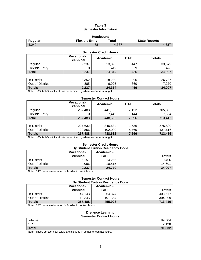## **Table 3 Semester Information**

| <b>Headcount</b>                                                  |    |       |  |  |  |
|-------------------------------------------------------------------|----|-------|--|--|--|
| <b>Flexible Entry</b><br><b>State Reports</b><br>Total<br>Regular |    |       |  |  |  |
| 4.249                                                             | 88 | 4.337 |  |  |  |

#### **Semester Credit Hours**

|                       | <b>Vocational-</b><br><b>Technical</b> | Academic | <b>BAT</b> | <b>Totals</b> |
|-----------------------|----------------------------------------|----------|------------|---------------|
| Regular               | 9,237                                  | 23,895   | 447        | 33,579        |
| <b>Flexible Entry</b> | Ü                                      | 419      | 9          | 428           |
| Total                 | 9,237                                  | 24,314   | 456        | 34,007        |
|                       |                                        |          |            |               |
| In-District           | 8,352                                  | 18,289   | 96         | 26,737        |
| Out-of-District       | 885                                    | 6,025    | 360        | 7,270         |
| <b>Totals</b>         | 9,237                                  | 24,314   | 456        | 34,007        |

Note: In/Out-of-District status is determined by where a course is taught.

### **Semester Contact Hours**

|                       | <b>Vocational-</b><br><b>Technical</b> | Academic | <b>BAT</b> | <b>Totals</b>  |
|-----------------------|----------------------------------------|----------|------------|----------------|
| Regular               | 257,488                                | 441,192  | 7.152      | 705,832        |
| <b>Flexible Entry</b> |                                        | 7,440    | 144        | 7,584          |
| Total                 | 257.488                                | 448,632  | 7,296      | 713,416        |
|                       |                                        |          |            |                |
| In Dictrict           | רכה דרר                                | 216.622  | E?R.<br>1  | <b>E7E 000</b> |

In-District 227,632 346,632 1,536 575,800 Out-of-District 29,856 102,000 5,760 137,616<br>
Totals 257,488 488,632 7,296 713,416 **Totals 257,488 488,632 7,296 713,416**

Note: In/Out-of-District status is determined by where a course is taught.

# **Semester Credit Hours**

| <b>By Student Tuition Residency Code</b> |                                        |                          |               |  |
|------------------------------------------|----------------------------------------|--------------------------|---------------|--|
|                                          | <b>Vocational-</b><br><b>Technical</b> | Academic -<br><b>BAT</b> | <b>Totals</b> |  |
| In-District                              | 5.151                                  | 14.255                   | 19.406        |  |
| Out-of-District                          | 4,086                                  | 10.515                   | 14.601        |  |
| <b>Totals</b>                            | 9,237                                  | 24.770                   | 34,007        |  |

Note: BAT hours are included in Academic credit hours.

#### **Semester Contact Hours By Student Tuition Residency Code**

|                 | <b>Vocational-</b> | Academic - |               |  |  |
|-----------------|--------------------|------------|---------------|--|--|
|                 | <b>Technical</b>   | <b>BAT</b> | <b>Totals</b> |  |  |
| In-District     | 144.143            | 264.374    | 408,517       |  |  |
| Out-of-District | 113.345            | 191.554    | 304,899       |  |  |
| <b>Totals</b>   | 257,488            | 455,928    | 713,416       |  |  |

Note: BAT hours are included in Academic contact hours.

#### **Distance Learning Semester Contact Hours**

| <u>sendered sentaut noard</u> |                       |  |
|-------------------------------|-----------------------|--|
| Internet                      | 89,504                |  |
| <b>VCT</b>                    | 0.400<br>ں ے . ا      |  |
| Total                         | 622<br>Q <sub>1</sub> |  |
| .                             |                       |  |

Note: These contact hour totals are included in semester contact hours.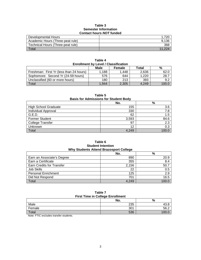# **Table 3 Semester Information Contact hours** *NOT* **funded**

| <b>OUTROL TOURS NOT RINGS</b>     |       |  |  |
|-----------------------------------|-------|--|--|
| Developmental Hours               |       |  |  |
| Academic Hours (Three-peat rule)  | 9.136 |  |  |
| Technical Hours (Three-peat rule) | 368   |  |  |
| $\tau$ <sub>otal</sub>            |       |  |  |

| <b>Enrollment by Level / Classification</b> |       |       |       |       |  |
|---------------------------------------------|-------|-------|-------|-------|--|
| Male<br>%<br>Total<br>Female                |       |       |       |       |  |
| Freshman: First Yr (less than 24 hours)     | 1,188 | 1.448 | 2.636 | 62.C  |  |
| Sophomore: Second Yr (24-59 hours)          | 576   | 644   | 1.220 | 28.7  |  |
| Unclassified (60 or more hours)             | 180   | 213   | 393   | 9.2   |  |
| Total                                       | 1.944 | 2,305 | 4.249 | 100.0 |  |

**Table 4**

| Table 5<br><b>Basis for Admissions for Student Body</b> |       |       |  |  |
|---------------------------------------------------------|-------|-------|--|--|
| No.<br>%                                                |       |       |  |  |
| <b>High School Graduate</b>                             | 155   | 3.6   |  |  |
| <b>Individual Approval</b>                              | 330   | 7.8   |  |  |
| G.E.D.                                                  | 62    | 1.5   |  |  |
| <b>Former Student</b>                                   | 3,593 | 84.6  |  |  |
| <b>College Transfer</b>                                 | 97    | 2.3   |  |  |
| Unknown                                                 | 12    | 0.3   |  |  |
| Total                                                   | 4.249 | 100.0 |  |  |

### **Table 6 Student Intention Why Students Attend Brazosport College**

|                            | No.   | $\%$  |  |
|----------------------------|-------|-------|--|
| Earn an Associate's Degree | 890   | 20.9  |  |
| Earn a Certificate         | 355   | 8.4   |  |
| Earn Credits for Transfer  | 2,156 | 50.7  |  |
| Job Skills                 | 22    | 0.5   |  |
| <b>Personal Enrichment</b> | 125   | 2.9   |  |
| Did Not Respond            | 701   | 16.5  |  |
| Total                      | 4,249 | 100.0 |  |

| Table 7 |  |  |                                         |
|---------|--|--|-----------------------------------------|
|         |  |  | <b>First Time in College Enrollment</b> |

| <u>rast rang ar oonced Enromnont</u>                            |     |      |  |
|-----------------------------------------------------------------|-----|------|--|
|                                                                 | No. | %    |  |
| Male                                                            | 235 | 4ა.ბ |  |
| Female                                                          | 301 | 56.2 |  |
| Total                                                           | 536 |      |  |
| . <del>.</del><br>.<br>the contract of the contract of the con- |     |      |  |

Note: FTIC excludes transfer students.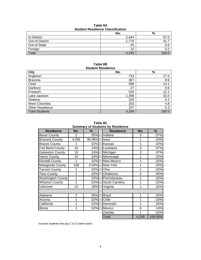| Table 8A                                |  |  |  |
|-----------------------------------------|--|--|--|
| <b>Student Residence Classification</b> |  |  |  |

|                 | No.   | $\%$  |
|-----------------|-------|-------|
| In-District     | 2,444 | 57.5  |
| Out-of-District | 1,770 | 41.7  |
| Out-of-State    | 25    | 0.6   |
| Foreign         | 10    | 0.2   |
| Total           | 4,249 | 100.0 |

#### **Table 8B Student Residence**

| ,,,,,,,,,,,,,,,,,,,,,  |       |       |  |
|------------------------|-------|-------|--|
| <b>City</b>            | No.   | $\%$  |  |
| Angleton               | 733   | 17.3  |  |
| <b>Brazoria</b>        | 367   | 8.6   |  |
| Clute                  | 598   | 14.1  |  |
| Danbury                | 27    | 0.6   |  |
| Freeport               | 516   | 12.1  |  |
| Lake Jackson           | 1,358 | 32.0  |  |
| Sweeny                 | 220   | 5.2   |  |
| West Columbia          | 203   | 4.8   |  |
| <b>Other Residence</b> | 227   | 5.3   |  |
| Total Students         | 4,249 | 100.0 |  |

**Table 8C Summary of Students by Residence**

| <b>Residence</b>        | No.            | %      | <b>Residence</b> | No.            | $\%$    |
|-------------------------|----------------|--------|------------------|----------------|---------|
| <b>Bexar County</b>     | $\overline{2}$ | .05%   | Indiana          | 3              | .07%    |
| <b>Brazoria County</b>  | 4,056          | 95.46% | lowa             |                | .02%    |
| <b>Brazos County</b>    | 1              | .02%   | Kansas           | 1              | .02%    |
| Fort Bend County        | 10             | .24%   | Louisiana        | 3              | .07%    |
| <b>Galveston County</b> | 10             | .24%   | Michigan         | 3              | .07%    |
| <b>Harris County</b>    | 10             | .24%   | Mississippi      | 1              | .02%    |
| Kendall County          | 1              | .02%   | New Mexico       | 1              | .02%    |
| Matagorda County        | 108            | 2.54%  | New York         | 1              | .02%    |
| <b>Tarrant County</b>   | 1              | .02%   | Ohio             | 1              | .02%    |
| <b>Titus County</b>     | 1              | .02%   | Oklahoma         | $\overline{2}$ | .05%    |
| Washington County       | $\overline{1}$ | .02%   | Pennslyvania     |                | .02%    |
| <b>Wharton County</b>   | 1              | .02%   | South Carolina   | 1              | .02%    |
| Unknown                 | 12             | .28%   | Virginia         | 1              | .02%    |
|                         |                |        |                  |                |         |
| Alabama                 | $\overline{2}$ | .05%   | <b>Brazil</b>    | 1              | .02%    |
| Arizona                 | $\overline{1}$ | .02%   | Chile            | 1              | .02%    |
| California              | 1              | .02%   | Denmark          | 1              | .02%    |
| Illinois                | 1              | .02%   | Mexico           | 6              | .14%    |
|                         |                |        | Zambia           | 1              | .02%    |
|                         |                |        | <b>Total</b>     | 4,249          | 100.00% |

Includes students that pay C & D coded tuition.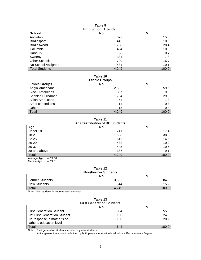### **Table 9 High School Attended**

| <b>School</b>         | No.   | $\%$  |
|-----------------------|-------|-------|
| Angleton              | 672   | 15.8  |
| <b>Brazosport</b>     | 446   | 10.5  |
| <b>Brazoswood</b>     | 1,208 | 28.4  |
| Columbia              | 424   | 10.0  |
| Danbury               | 28    | 0.7   |
| Sweeny                | 331   | 7.8   |
| <b>Other Schools</b>  | 709   | 16.7  |
| No School Assigned    | 431   | 10.1  |
| <b>Total Students</b> | 4,249 | 100.0 |

# **Table 10**

| <b>Ethnic Groups</b>    |       |       |  |  |
|-------------------------|-------|-------|--|--|
| <b>Ethnic Groups</b>    | No.   | %     |  |  |
| Anglo-Americans         | 2,532 | 59.6  |  |  |
| <b>Black Americans</b>  | 397   | 9.3   |  |  |
| <b>Spanish Surnames</b> | 1,234 | 29.0  |  |  |
| <b>Asian Americans</b>  | 54    | 1.3   |  |  |
| American Indians        | 14    | 0.3   |  |  |
| Others                  | 18    | 0.4   |  |  |
| Total                   | 4.249 | 1በበ በ |  |  |

**Table 11 Age Distribution of BC Students**

| Age                    | No.   | %     |  |  |
|------------------------|-------|-------|--|--|
| Under 18               | 741   | 17.4  |  |  |
| $18 - 21$              | 1,628 | 38.3  |  |  |
| $22 - 25$              | 616   | 14.5  |  |  |
| 26-29                  | 432   | 10.2  |  |  |
| $30 - 37$              | 445   | 10.5  |  |  |
| 38 and above           | 387   | 9.1   |  |  |
| Total                  | 4,249 | 100.0 |  |  |
| $-2400$<br>Avorage Age |       |       |  |  |

Average Age  $= 24.08$  $Median Age = 21.0$ 

#### **Table 12 New/Former Students**

|                        | No.   | %    |  |  |
|------------------------|-------|------|--|--|
| <b>Former Students</b> | 3,605 | 84.8 |  |  |
| <b>New Students</b>    | 644   | 15.2 |  |  |
| Total                  | 4,249 | 100  |  |  |

Note: New students include transfer students.

# **Table 13 First Generation Students**

|                                     | No. | %    |
|-------------------------------------|-----|------|
| <b>First Generation Student</b>     | 354 | 55.C |
| <b>Not First Generation Student</b> | 160 | 24.8 |
| No response in mother's or          | 130 | 20.2 |
| father's education level            |     |      |
| Total                               | 644 | 100. |

Note: First generation students include only new students.

A first generation student is defined by both parents' education level below a Baccalaureate Degree.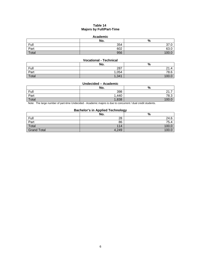# **Table 14 Majors by Full/Part-Time**

### **Academic**

|       | No. | $\mathbf{0}$<br>70     |
|-------|-----|------------------------|
| Full  | 354 | $\sim$<br><u>ں ، ں</u> |
| Part  | 602 | $\sim$<br>03.U         |
| Total | 956 | 100.                   |

# **Vocational - Technical**

|              | No.   | %              |
|--------------|-------|----------------|
| Full         | 287   | $\sim$<br>21.4 |
| Part         | ,054  | 78.6           |
| <b>Total</b> | 1,341 | 100            |

# **Undecided – Academic**

|       | No.   | %                       |
|-------|-------|-------------------------|
| Full  | 398   | $\sim$<br>-<br><u>.</u> |
| Part  | ,440  | 78.3                    |
| Total | 1,838 | 100                     |

Note: The large number of part-time Undecided - Academic majors is due to concurrent / dual credit students.

# **Bachelor's in Applied Technology**

|                    | No.   | --<br>% |
|--------------------|-------|---------|
| Full               | 28    | 24.6    |
| Part               | 86    | 75.4    |
| Total              | 114   | 100.0   |
| <b>Grand Total</b> | 4,249 | 100.0   |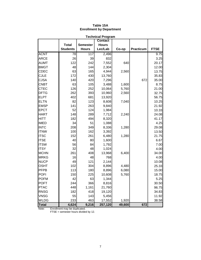| <b>Technical Program</b> |                 |                 |                |        |                  |             |
|--------------------------|-----------------|-----------------|----------------|--------|------------------|-------------|
|                          |                 |                 | <b>Contact</b> |        |                  |             |
|                          | <b>Total</b>    | <b>Semester</b> | <b>Hours</b>   |        |                  |             |
|                          | <b>Students</b> | <b>Hours</b>    | Lec/Lab        | Co-op  | <b>Practicum</b> | <b>FTSE</b> |
| <b>ACNT</b>              | $\overline{78}$ | 117             | 2,496          |        |                  | 9.75        |
| <b>ARCE</b>              | 26              | 39              | 832            |        |                  | 3.25        |
| <b>AUMT</b>              | 122             | 242             | 7,552          | 640    |                  | 20.17       |
| <b>BMGT</b>              | 48              | 144             | 2,304          |        |                  | 12.00       |
| <b>CDEC</b>              | 63              | 165             | 4,944          | 2,560  |                  | 13.75       |
| <b>CJLE</b>              | 172             | 430             | 13,760         |        |                  | 35.83       |
| <b>CJSA</b>              | 140             | 420             | 7,296          |        | 672              | 35.00       |
| <b>CNBT</b>              | 63              | 105             | 3,488          | 1,600  |                  | 8.75        |
| <b>CTEC</b>              | 126             | 252             | 10,064         | 5,760  |                  | 21.00       |
| <b>DFTG</b>              | 262             | 393             | 10,960         | 2,560  |                  | 32.75       |
| <b>ELPT</b>              | 402             | 681             | 13,920         |        |                  | 56.75       |
| <b>ELTN</b>              | 82              | 123             | 8,608          | 7,040  |                  | 10.25       |
| <b>EMSP</b>              | 141             | 263             | 9,840          |        |                  | 21.92       |
| <b>EPCT</b>              | 52              | 124             | 1,984          |        |                  | 10.33       |
| <b>HART</b>              | 148             | 289             | 7,712          | 2,240  |                  | 24.08       |
| <b>HITT</b>              | 182             | 494             | 8,320          |        |                  | 41.17       |
| <b>IMED</b>              | 34              | 51              | 1,088          |        |                  | 4.25        |
| <b>INTC</b>              | 208             | 349             | 8,336          | 1,280  |                  | 29.08       |
| <b>ITNW</b>              | 100             | 162             | 3,392          |        |                  | 13.50       |
| <b>ITSC</b>              | 152             | 261             | 6,480          | 1,280  |                  | 21.75       |
| <b>ITSE</b>              | 40              | 80              | 1,600          |        |                  | 6.67        |
| <b>ITSW</b>              | 56              | 84              | 1,792          |        |                  | 7.00        |
| <b>ITSY</b>              | 32              | 48              | 1,024          |        |                  | 4.00        |
| <b>MCHN</b>              | 261             | 408             | 13,968         | 6,400  |                  | 34.00       |
| <b>MRKG</b>              | 16              | 48              | 768            |        |                  | 4.00        |
| <b>NUCP</b>              | 49              | 121             | 2,144          |        |                  | 10.08       |
| <b>OSHT</b>              | 102             | 304             | 8,896          | 4,480  |                  | 25.33       |
| <b>PFPB</b>              | 113             | 180             | 8,896          | 6,080  |                  | 15.00       |
| <b>POFI</b>              | 150             | 225             | 10,608         | 5,760  |                  | 18.75       |
| <b>POFM</b>              | 42              | 63              | 1,344          |        |                  | 5.25        |
| <b>POFT</b>              | 244             | 366             | 8,816          |        |                  | 30.50       |
| <b>PTAC</b>              | 448             | 1,161           | 21,760         |        |                  | 96.75       |
| <b>RNSG</b>              | 182             | 418             | 19,120         |        |                  | 34.83       |
| <b>VNSG</b>              | 55              | 143             | 5,456          |        |                  | 11.92       |
| <b>WLDG</b>              | 233             | 463             | 17,552         | 1,920  |                  | 38.58       |
| <b>Total</b>             | 4,624           | 9,216           | 257,120        | 49,600 | 672              |             |

# **Table 15A Enrollment by Department**

Note: Enrollment may be duplicated.

FTSE = semester hours divided by 12.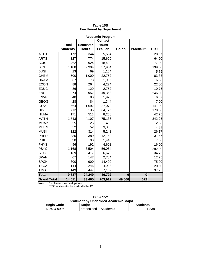| <b>Academic Program</b> |                 |                 |                |          |                  |             |
|-------------------------|-----------------|-----------------|----------------|----------|------------------|-------------|
|                         |                 |                 | <b>Contact</b> |          |                  |             |
|                         | <b>Total</b>    | <b>Semester</b> | <b>Hours</b>   |          |                  |             |
|                         | <b>Students</b> | <b>Hours</b>    | Lec/Lab        | Co-op    | <b>Practicum</b> | <b>FTSE</b> |
| <b>ACCT</b>             | 172             | 344             | 5,504          |          |                  | 28.67       |
| <b>ARTS</b>             | 327             | 774             | 15,696         |          |                  | 64.50       |
| <b>BCIS</b>             | 462             | 924             | 18,480         |          |                  | 77.00       |
| <b>BIOL</b>             | 1,188           | 2,394           | 57,904         |          |                  | 199.50      |
| <b>BUSI</b>             | 23              | 69              | 1,104          |          |                  | 5.75        |
| <b>CHEM</b>             | 500             | 1,000           | 22,752         |          |                  | 83.33       |
| <b>DRAM</b>             | 37              | 73              | 1,936          |          |                  | 6.08        |
| <b>ECON</b>             | 88              | 264             | 4,224          |          |                  | 22.00       |
| <b>EDUC</b>             | 86              | 129             | 2,752          |          |                  | 10.75       |
| <b>ENGL</b>             | 1,074           | 2,952           | 49,368         |          |                  | 246.00      |
| <b>ENVR</b>             | 40              | 80              | 1,920          |          |                  | 6.67        |
| <b>GEOG</b>             | 28              | 84              | 1,344          |          |                  | 7.00        |
| GOVT                    | 564             | 1,692           | 27,072         |          |                  | 141.00      |
| <b>HIST</b>             | 712             | 2,136           | 34,176         |          |                  | 178.00      |
| <b>HUMA</b>             | 171             | 513             | 8,208          |          |                  | 42.75       |
| <b>MATH</b>             | 1,743           | 4,107           | 75,136         |          |                  | 342.25      |
| <b>MUAP</b>             | 25              | 25              | 400            |          |                  | 2.08        |
| <b>MUEN</b>             | 52              | 52              | 3,360          |          |                  | 4.33        |
| <b>MUSI</b>             | 122             | 314             | 5,248          |          |                  | 26.17       |
| PHED                    | 380             | 380             | 12,160         |          |                  | 31.67       |
| PHIL                    | 30              | 90              | 1,440          |          |                  | 7.50        |
| <b>PHYS</b>             | 96              | 192             | 4,608          |          |                  | 16.00       |
| <b>PSYC</b>             | 1,168           | 3,504           | 56,064         |          |                  | 292.00      |
| SOCI                    | 139             | 417             | 6,672          |          |                  | 34.75       |
| <b>SPAN</b>             | 67              | 147             | 2,784          |          |                  | 12.25       |
| <b>SPCH</b>             | 300             | 900             | 14,400         |          |                  | 75.00       |
| <b>TECA</b>             | 144             | 246             | 4,928          |          |                  | 20.50       |
| <b>TMGT</b>             | 149             | 447             | 7,152          |          |                  | 37.25       |
| <b>Total</b>            | 9,887           | 24,249          | 446,792        | $\bf{0}$ | 0                |             |
| <b>Grand Total</b>      | 14,511          | 33,465          | 703,912        | 49,600   | 672              |             |

# **Table 15B Enrollment by Department**

Note: Enrollment may be duplicated.

FTSE = semester hours divided by 12.

| Table 15C                                     |
|-----------------------------------------------|
| <b>Enrollment by Undecided Academic Major</b> |

| <b>Hegis Code</b> | <b>Major</b>         | <b>Students</b> |
|-------------------|----------------------|-----------------|
| 6950 & 9996       | Undecided – Academic |                 |